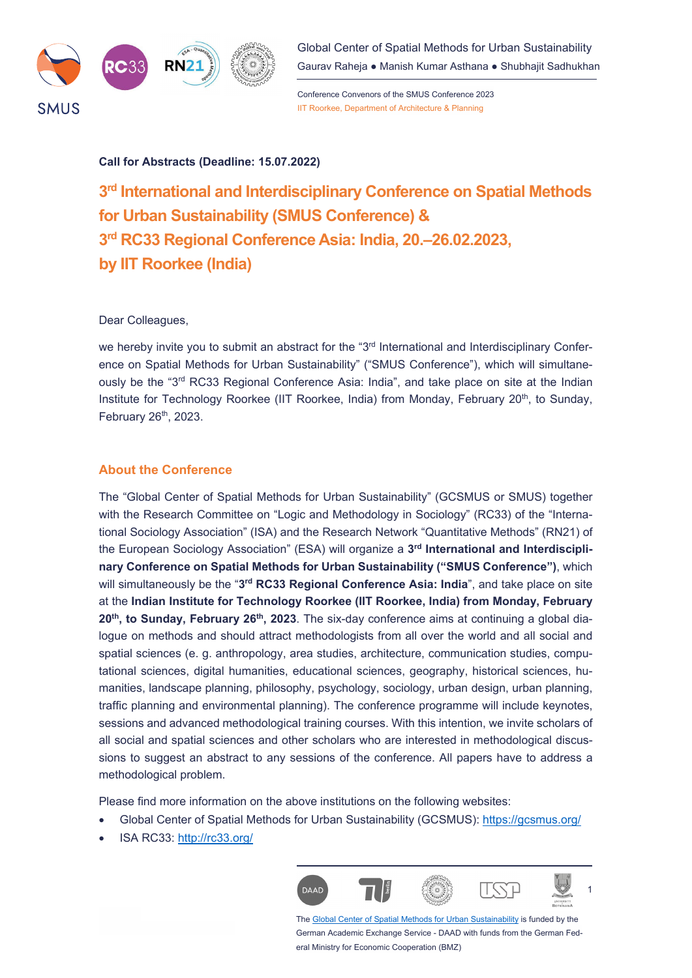

Global Center of Spatial Methods for Urban Sustainability Gaurav Raheja ● Manish Kumar Asthana ● Shubhajit Sadhukhan

Conference Convenors of the SMUS Conference 2023 IIT Roorkee, Department of Architecture & Planning

#### **Call for Abstracts (Deadline: 15.07.2022)**

**3rd International and Interdisciplinary Conference on Spatial Methods for Urban Sustainability (SMUS Conference) & 3rd RC33 Regional Conference Asia: India, 20.‒26.02.2023, by IIT Roorkee (India)** 

#### Dear Colleagues,

we hereby invite you to submit an abstract for the " $3<sup>rd</sup>$  International and Interdisciplinary Conference on Spatial Methods for Urban Sustainability" ("SMUS Conference"), which will simultaneously be the "3<sup>rd</sup> RC33 Regional Conference Asia: India", and take place on site at the Indian Institute for Technology Roorkee (IIT Roorkee, India) from Monday, February 20<sup>th</sup>, to Sunday, February  $26<sup>th</sup>$ , 2023.

#### **About the Conference**

The "Global Center of Spatial Methods for Urban Sustainability" (GCSMUS or SMUS) together with the Research Committee on "Logic and Methodology in Sociology" (RC33) of the "International Sociology Association" (ISA) and the Research Network "Quantitative Methods" (RN21) of the European Sociology Association" (ESA) will organize a **3rd International and Interdisciplinary Conference on Spatial Methods for Urban Sustainability ("SMUS Conference")**, which will simultaneously be the "**3rd RC33 Regional Conference Asia: India**", and take place on site at the **Indian Institute for Technology Roorkee (IIT Roorkee, India) from Monday, February**  20<sup>th</sup>, to Sunday, February 26<sup>th</sup>, 2023. The six-day conference aims at continuing a global dialogue on methods and should attract methodologists from all over the world and all social and spatial sciences (e. g. anthropology, area studies, architecture, communication studies, computational sciences, digital humanities, educational sciences, geography, historical sciences, humanities, landscape planning, philosophy, psychology, sociology, urban design, urban planning, traffic planning and environmental planning). The conference programme will include keynotes, sessions and advanced methodological training courses. With this intention, we invite scholars of all social and spatial sciences and other scholars who are interested in methodological discussions to suggest an abstract to any sessions of the conference. All papers have to address a methodological problem.

Please find more information on the above institutions on the following websites:

- Global Center of Spatial Methods for Urban Sustainability (GCSMUS): https://gcsmus.org/
- ISA RC33: http://rc33.org/



The Global Center of Spatial Methods for Urban Sustainability is funded by the German Academic Exchange Service - DAAD with funds from the German Federal Ministry for Economic Cooperation (BMZ)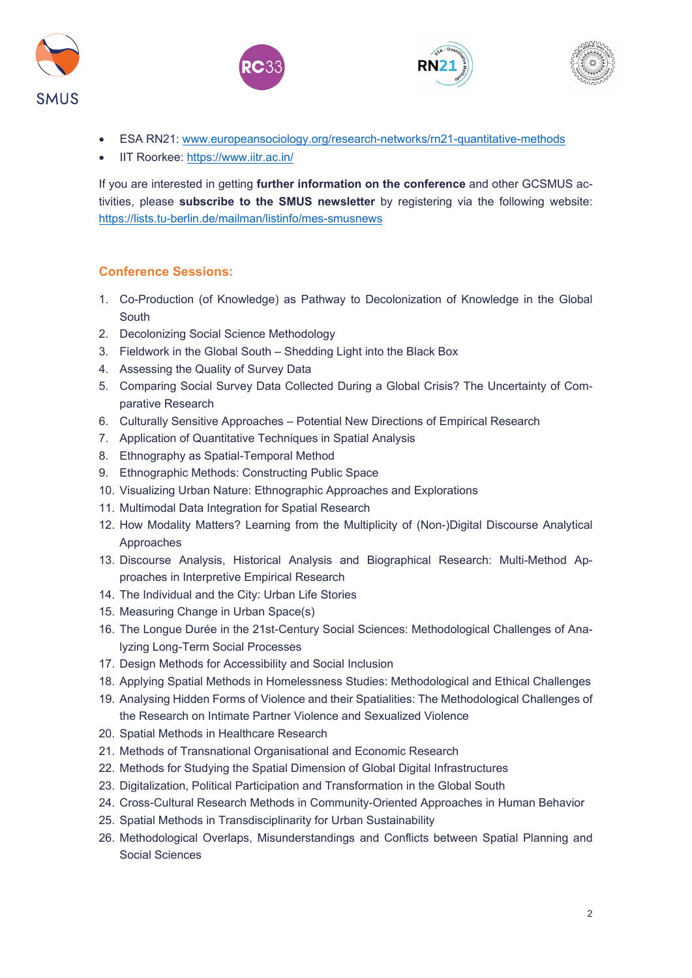







- ESA RN21: www.europeansociology.org/research-networks/rn21-quantitative-methods
- IIT Roorkee: https://www.iitr.ac.in/

If you are interested in getting **further information on the conference** and other GCSMUS activities, please **subscribe to the SMUS newsletter** by registering via the following website: https://lists.tu-berlin.de/mailman/listinfo/mes-smusnews

# **Conference Sessions:**

- 1. Co-Production (of Knowledge) as Pathway to Decolonization of Knowledge in the Global South
- 2. Decolonizing Social Science Methodology
- 3. Fieldwork in the Global South Shedding Light into the Black Box
- 4. Assessing the Quality of Survey Data
- 5. Comparing Social Survey Data Collected During a Global Crisis? The Uncertainty of Comparative Research
- 6. Culturally Sensitive Approaches Potential New Directions of Empirical Research
- 7. Application of Quantitative Techniques in Spatial Analysis
- 8. Ethnography as Spatial-Temporal Method
- 9. Ethnographic Methods: Constructing Public Space
- 10. Visualizing Urban Nature: Ethnographic Approaches and Explorations
- 11. Multimodal Data Integration for Spatial Research
- 12. How Modality Matters? Learning from the Multiplicity of (Non-)Digital Discourse Analytical Approaches
- 13. Discourse Analysis, Historical Analysis and Biographical Research: Multi-Method Approaches in Interpretive Empirical Research
- 14. The Individual and the City: Urban Life Stories
- 15. Measuring Change in Urban Space(s)
- 16. The Longue Durée in the 21st-Century Social Sciences: Methodological Challenges of Analyzing Long-Term Social Processes
- 17. Design Methods for Accessibility and Social Inclusion
- 18. Applying Spatial Methods in Homelessness Studies: Methodological and Ethical Challenges
- 19. Analysing Hidden Forms of Violence and their Spatialities: The Methodological Challenges of the Research on Intimate Partner Violence and Sexualized Violence
- 20. Spatial Methods in Healthcare Research
- 21. Methods of Transnational Organisational and Economic Research
- 22. Methods for Studying the Spatial Dimension of Global Digital Infrastructures
- 23. Digitalization, Political Participation and Transformation in the Global South
- 24. Cross-Cultural Research Methods in Community-Oriented Approaches in Human Behavior
- 25. Spatial Methods in Transdisciplinarity for Urban Sustainability
- 26. Methodological Overlaps, Misunderstandings and Conflicts between Spatial Planning and Social Sciences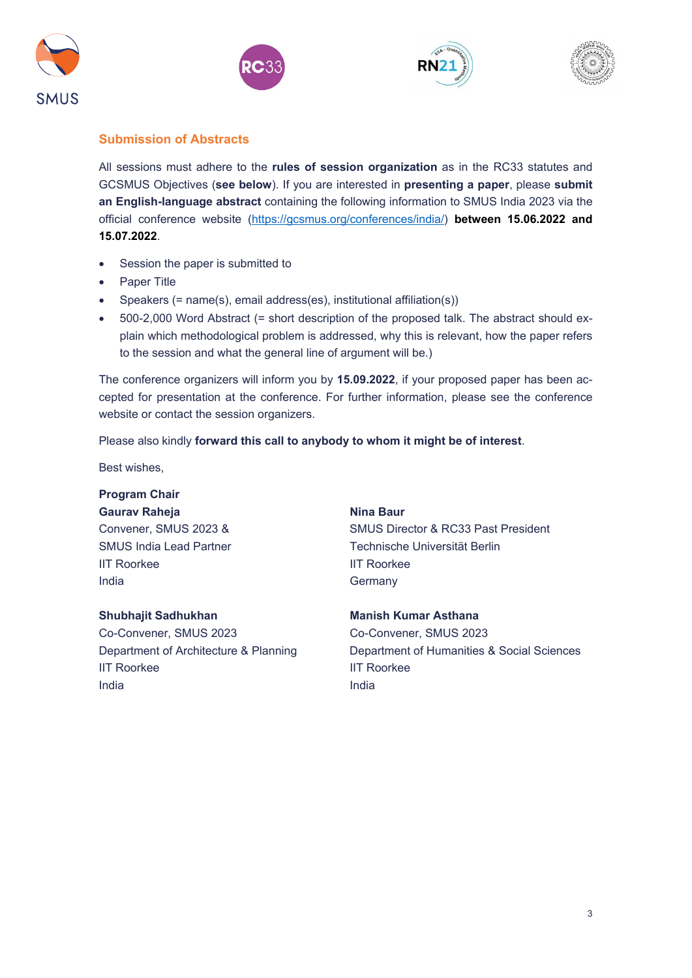







## **Submission of Abstracts**

All sessions must adhere to the **rules of session organization** as in the RC33 statutes and GCSMUS Objectives (**see below**). If you are interested in **presenting a paper**, please **submit an English-language abstract** containing the following information to SMUS India 2023 via the official conference website (https://gcsmus.org/conferences/india/) **between 15.06.2022 and 15.07.2022**.

- Session the paper is submitted to
- Paper Title
- Speakers (= name(s), email address(es), institutional affiliation(s))
- 500-2,000 Word Abstract (= short description of the proposed talk. The abstract should explain which methodological problem is addressed, why this is relevant, how the paper refers to the session and what the general line of argument will be.)

The conference organizers will inform you by **15.09.2022**, if your proposed paper has been accepted for presentation at the conference. For further information, please see the conference website or contact the session organizers.

Please also kindly **forward this call to anybody to whom it might be of interest**.

Best wishes,

# **Program Chair**

Gaurav Raheja **Nina Baur** Nina Baur

IIT Roorkee **IIT** Roorkee India Germany

### **Shubhajit Sadhukhan Manish Kumar Asthana**

Co-Convener, SMUS 2023 Co-Convener, SMUS 2023 IIT Roorkee **IIT Roorkee** India and a state of the state of the state of the state of the state of the state of the state of the state o

Convener, SMUS 2023 & SMUS Director & RC33 Past President SMUS India Lead Partner Technische Universität Berlin

Department of Architecture & Planning Department of Humanities & Social Sciences